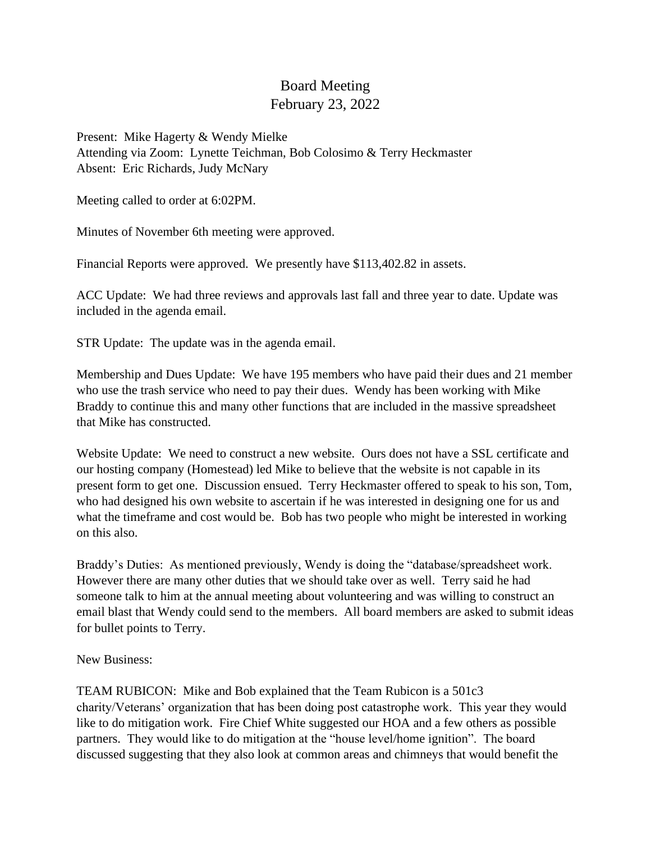## Board Meeting February 23, 2022

Present: Mike Hagerty & Wendy Mielke Attending via Zoom: Lynette Teichman, Bob Colosimo & Terry Heckmaster Absent: Eric Richards, Judy McNary

Meeting called to order at 6:02PM.

Minutes of November 6th meeting were approved.

Financial Reports were approved. We presently have \$113,402.82 in assets.

ACC Update: We had three reviews and approvals last fall and three year to date. Update was included in the agenda email.

STR Update: The update was in the agenda email.

Membership and Dues Update: We have 195 members who have paid their dues and 21 member who use the trash service who need to pay their dues. Wendy has been working with Mike Braddy to continue this and many other functions that are included in the massive spreadsheet that Mike has constructed.

Website Update: We need to construct a new website. Ours does not have a SSL certificate and our hosting company (Homestead) led Mike to believe that the website is not capable in its present form to get one. Discussion ensued. Terry Heckmaster offered to speak to his son, Tom, who had designed his own website to ascertain if he was interested in designing one for us and what the timeframe and cost would be. Bob has two people who might be interested in working on this also.

Braddy's Duties: As mentioned previously, Wendy is doing the "database/spreadsheet work. However there are many other duties that we should take over as well. Terry said he had someone talk to him at the annual meeting about volunteering and was willing to construct an email blast that Wendy could send to the members. All board members are asked to submit ideas for bullet points to Terry.

New Business:

TEAM RUBICON: Mike and Bob explained that the Team Rubicon is a 501c3 charity/Veterans' organization that has been doing post catastrophe work. This year they would like to do mitigation work. Fire Chief White suggested our HOA and a few others as possible partners. They would like to do mitigation at the "house level/home ignition". The board discussed suggesting that they also look at common areas and chimneys that would benefit the